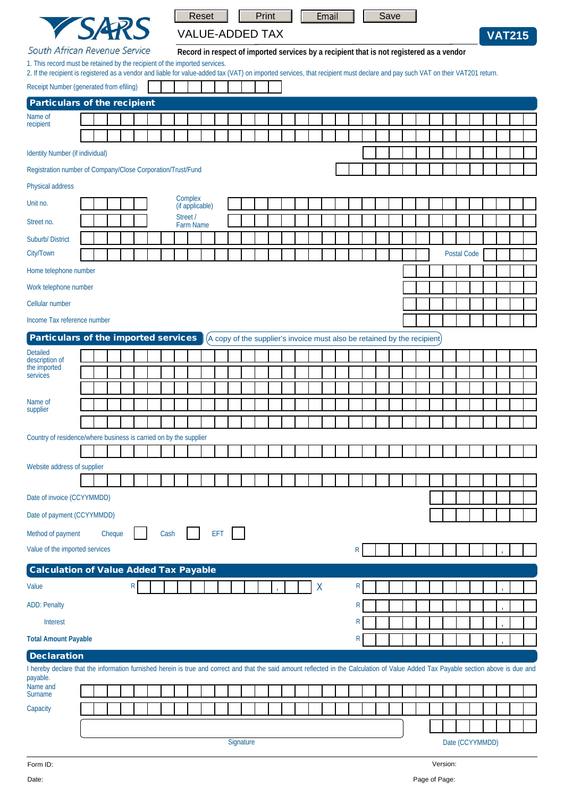|                                                                                                                                                                                                                                                             |           |        |  |  |                            | <b>Reset</b> |                       |  |  |  | Print |  |  |  | Email           |  |  |   |  | Save                                                                                     |              |  |  |  |  |  |  |             |  |  |  |
|-------------------------------------------------------------------------------------------------------------------------------------------------------------------------------------------------------------------------------------------------------------|-----------|--------|--|--|----------------------------|--------------|-----------------------|--|--|--|-------|--|--|--|-----------------|--|--|---|--|------------------------------------------------------------------------------------------|--------------|--|--|--|--|--|--|-------------|--|--|--|
| <b>YSARS</b>                                                                                                                                                                                                                                                |           |        |  |  | <b>VALUE-ADDED TAX</b>     |              |                       |  |  |  |       |  |  |  |                 |  |  |   |  | <b>VAT215</b>                                                                            |              |  |  |  |  |  |  |             |  |  |  |
| South African Revenue Service                                                                                                                                                                                                                               |           |        |  |  |                            |              |                       |  |  |  |       |  |  |  |                 |  |  |   |  | Record in respect of imported services by a recipient that is not registered as a vendor |              |  |  |  |  |  |  |             |  |  |  |
| 1. This record must be retained by the recipient of the imported services.<br>2. If the recipient is registered as a vendor and liable for value-added tax (VAT) on imported services, that recipient must declare and pay such VAT on their VAT201 return. |           |        |  |  |                            |              |                       |  |  |  |       |  |  |  |                 |  |  |   |  |                                                                                          |              |  |  |  |  |  |  |             |  |  |  |
| Receipt Number (generated from efiling)                                                                                                                                                                                                                     |           |        |  |  |                            |              |                       |  |  |  |       |  |  |  |                 |  |  |   |  |                                                                                          |              |  |  |  |  |  |  |             |  |  |  |
| <b>Particulars of the recipient</b>                                                                                                                                                                                                                         |           |        |  |  |                            |              |                       |  |  |  |       |  |  |  |                 |  |  |   |  |                                                                                          |              |  |  |  |  |  |  |             |  |  |  |
| Name of<br>recipient                                                                                                                                                                                                                                        |           |        |  |  |                            |              |                       |  |  |  |       |  |  |  |                 |  |  |   |  |                                                                                          |              |  |  |  |  |  |  |             |  |  |  |
|                                                                                                                                                                                                                                                             |           |        |  |  |                            |              |                       |  |  |  |       |  |  |  |                 |  |  |   |  |                                                                                          |              |  |  |  |  |  |  |             |  |  |  |
| Identity Number (if individual)                                                                                                                                                                                                                             |           |        |  |  |                            |              |                       |  |  |  |       |  |  |  |                 |  |  |   |  |                                                                                          |              |  |  |  |  |  |  |             |  |  |  |
| Registration number of Company/Close Corporation/Trust/Fund                                                                                                                                                                                                 |           |        |  |  |                            |              |                       |  |  |  |       |  |  |  |                 |  |  |   |  |                                                                                          |              |  |  |  |  |  |  |             |  |  |  |
| Physical address                                                                                                                                                                                                                                            |           |        |  |  |                            |              |                       |  |  |  |       |  |  |  |                 |  |  |   |  |                                                                                          |              |  |  |  |  |  |  |             |  |  |  |
| Unit no.                                                                                                                                                                                                                                                    |           |        |  |  | Complex<br>(if applicable) |              |                       |  |  |  |       |  |  |  |                 |  |  |   |  |                                                                                          |              |  |  |  |  |  |  |             |  |  |  |
| Street no.                                                                                                                                                                                                                                                  |           |        |  |  |                            |              | Street /<br>Farm Name |  |  |  |       |  |  |  |                 |  |  |   |  |                                                                                          |              |  |  |  |  |  |  |             |  |  |  |
| Suburb/District                                                                                                                                                                                                                                             |           |        |  |  |                            |              |                       |  |  |  |       |  |  |  |                 |  |  |   |  |                                                                                          |              |  |  |  |  |  |  |             |  |  |  |
| City/Town                                                                                                                                                                                                                                                   |           |        |  |  |                            |              |                       |  |  |  |       |  |  |  |                 |  |  |   |  |                                                                                          |              |  |  |  |  |  |  | Postal Code |  |  |  |
| Home telephone number                                                                                                                                                                                                                                       |           |        |  |  |                            |              |                       |  |  |  |       |  |  |  |                 |  |  |   |  |                                                                                          |              |  |  |  |  |  |  |             |  |  |  |
| Work telephone number                                                                                                                                                                                                                                       |           |        |  |  |                            |              |                       |  |  |  |       |  |  |  |                 |  |  |   |  |                                                                                          |              |  |  |  |  |  |  |             |  |  |  |
| Cellular number                                                                                                                                                                                                                                             |           |        |  |  |                            |              |                       |  |  |  |       |  |  |  |                 |  |  |   |  |                                                                                          |              |  |  |  |  |  |  |             |  |  |  |
| Income Tax reference number                                                                                                                                                                                                                                 |           |        |  |  |                            |              |                       |  |  |  |       |  |  |  |                 |  |  |   |  |                                                                                          |              |  |  |  |  |  |  |             |  |  |  |
| Particulars of the imported services                                                                                                                                                                                                                        |           |        |  |  |                            |              |                       |  |  |  |       |  |  |  |                 |  |  |   |  | (A copy of the supplier's invoice must also be retained by the recipient)                |              |  |  |  |  |  |  |             |  |  |  |
| <b>Detailed</b><br>description of                                                                                                                                                                                                                           |           |        |  |  |                            |              |                       |  |  |  |       |  |  |  |                 |  |  |   |  |                                                                                          |              |  |  |  |  |  |  |             |  |  |  |
| the imported<br>services                                                                                                                                                                                                                                    |           |        |  |  |                            |              |                       |  |  |  |       |  |  |  |                 |  |  |   |  |                                                                                          |              |  |  |  |  |  |  |             |  |  |  |
|                                                                                                                                                                                                                                                             |           |        |  |  |                            |              |                       |  |  |  |       |  |  |  |                 |  |  |   |  |                                                                                          |              |  |  |  |  |  |  |             |  |  |  |
| Name of<br>supplier                                                                                                                                                                                                                                         |           |        |  |  |                            |              |                       |  |  |  |       |  |  |  |                 |  |  |   |  |                                                                                          |              |  |  |  |  |  |  |             |  |  |  |
|                                                                                                                                                                                                                                                             |           |        |  |  |                            |              |                       |  |  |  |       |  |  |  |                 |  |  |   |  |                                                                                          |              |  |  |  |  |  |  |             |  |  |  |
| Country of residence/where business is carried on by the supplier                                                                                                                                                                                           |           |        |  |  |                            |              |                       |  |  |  |       |  |  |  |                 |  |  |   |  |                                                                                          |              |  |  |  |  |  |  |             |  |  |  |
|                                                                                                                                                                                                                                                             |           |        |  |  |                            |              |                       |  |  |  |       |  |  |  |                 |  |  |   |  |                                                                                          |              |  |  |  |  |  |  |             |  |  |  |
| Website address of supplier                                                                                                                                                                                                                                 |           |        |  |  |                            |              |                       |  |  |  |       |  |  |  |                 |  |  |   |  |                                                                                          |              |  |  |  |  |  |  |             |  |  |  |
| Date of invoice (CCYYMMDD)                                                                                                                                                                                                                                  |           |        |  |  |                            |              |                       |  |  |  |       |  |  |  |                 |  |  |   |  |                                                                                          |              |  |  |  |  |  |  |             |  |  |  |
| Date of payment (CCYYMMDD)                                                                                                                                                                                                                                  |           |        |  |  |                            |              |                       |  |  |  |       |  |  |  |                 |  |  |   |  |                                                                                          |              |  |  |  |  |  |  |             |  |  |  |
| Method of payment                                                                                                                                                                                                                                           |           | Cheque |  |  |                            |              | Cash                  |  |  |  | EFT   |  |  |  |                 |  |  |   |  |                                                                                          |              |  |  |  |  |  |  |             |  |  |  |
| Value of the imported services                                                                                                                                                                                                                              |           |        |  |  |                            |              |                       |  |  |  |       |  |  |  |                 |  |  |   |  |                                                                                          | R            |  |  |  |  |  |  |             |  |  |  |
|                                                                                                                                                                                                                                                             |           |        |  |  |                            |              |                       |  |  |  |       |  |  |  |                 |  |  |   |  |                                                                                          |              |  |  |  |  |  |  |             |  |  |  |
| <b>Calculation of Value Added Tax Payable</b>                                                                                                                                                                                                               |           |        |  |  |                            |              |                       |  |  |  |       |  |  |  |                 |  |  |   |  |                                                                                          | R            |  |  |  |  |  |  |             |  |  |  |
| Value                                                                                                                                                                                                                                                       |           |        |  |  | R <sub>1</sub>             |              |                       |  |  |  |       |  |  |  |                 |  |  | Χ |  |                                                                                          |              |  |  |  |  |  |  |             |  |  |  |
| <b>ADD: Penalty</b>                                                                                                                                                                                                                                         |           |        |  |  |                            |              |                       |  |  |  |       |  |  |  |                 |  |  |   |  |                                                                                          | R            |  |  |  |  |  |  |             |  |  |  |
| Interest                                                                                                                                                                                                                                                    |           |        |  |  |                            |              |                       |  |  |  |       |  |  |  |                 |  |  |   |  |                                                                                          | $\mathsf{R}$ |  |  |  |  |  |  |             |  |  |  |
| <b>Total Amount Payable</b>                                                                                                                                                                                                                                 |           |        |  |  |                            |              |                       |  |  |  |       |  |  |  |                 |  |  |   |  |                                                                                          | R            |  |  |  |  |  |  |             |  |  |  |
| <b>Declaration</b><br>I hereby declare that the information furnished herein is true and correct and that the said amount reflected in the Calculation of Value Added Tax Payable section above is due and                                                  |           |        |  |  |                            |              |                       |  |  |  |       |  |  |  |                 |  |  |   |  |                                                                                          |              |  |  |  |  |  |  |             |  |  |  |
| payable.<br>Name and                                                                                                                                                                                                                                        |           |        |  |  |                            |              |                       |  |  |  |       |  |  |  |                 |  |  |   |  |                                                                                          |              |  |  |  |  |  |  |             |  |  |  |
| Surname                                                                                                                                                                                                                                                     |           |        |  |  |                            |              |                       |  |  |  |       |  |  |  |                 |  |  |   |  |                                                                                          |              |  |  |  |  |  |  |             |  |  |  |
| Capacity                                                                                                                                                                                                                                                    |           |        |  |  |                            |              |                       |  |  |  |       |  |  |  |                 |  |  |   |  |                                                                                          |              |  |  |  |  |  |  |             |  |  |  |
|                                                                                                                                                                                                                                                             |           |        |  |  |                            |              |                       |  |  |  |       |  |  |  |                 |  |  |   |  |                                                                                          |              |  |  |  |  |  |  |             |  |  |  |
|                                                                                                                                                                                                                                                             | Signature |        |  |  |                            |              |                       |  |  |  |       |  |  |  | Date (CCYYMMDD) |  |  |   |  |                                                                                          |              |  |  |  |  |  |  |             |  |  |  |